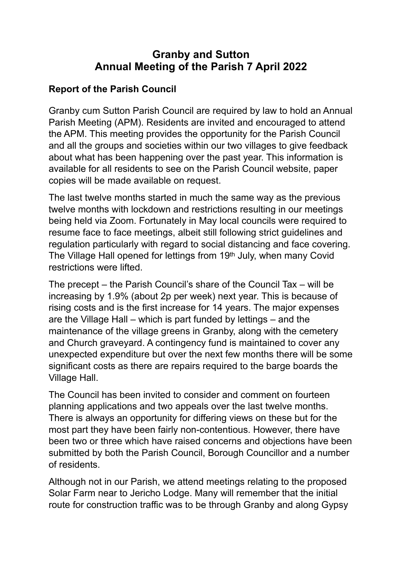# **Granby and Sutton Annual Meeting of the Parish 7 April 2022**

## **Report of the Parish Council**

Granby cum Sutton Parish Council are required by law to hold an Annual Parish Meeting (APM). Residents are invited and encouraged to attend the APM. This meeting provides the opportunity for the Parish Council and all the groups and societies within our two villages to give feedback about what has been happening over the past year. This information is available for all residents to see on the Parish Council website, paper copies will be made available on request.

The last twelve months started in much the same way as the previous twelve months with lockdown and restrictions resulting in our meetings being held via Zoom. Fortunately in May local councils were required to resume face to face meetings, albeit still following strict guidelines and regulation particularly with regard to social distancing and face covering. The Village Hall opened for lettings from 19th July, when many Covid restrictions were lifted.

The precept – the Parish Council's share of the Council Tax – will be increasing by 1.9% (about 2p per week) next year. This is because of rising costs and is the first increase for 14 years. The major expenses are the Village Hall – which is part funded by lettings – and the maintenance of the village greens in Granby, along with the cemetery and Church graveyard. A contingency fund is maintained to cover any unexpected expenditure but over the next few months there will be some significant costs as there are repairs required to the barge boards the Village Hall.

The Council has been invited to consider and comment on fourteen planning applications and two appeals over the last twelve months. There is always an opportunity for differing views on these but for the most part they have been fairly non-contentious. However, there have been two or three which have raised concerns and objections have been submitted by both the Parish Council, Borough Councillor and a number of residents.

Although not in our Parish, we attend meetings relating to the proposed Solar Farm near to Jericho Lodge. Many will remember that the initial route for construction traffic was to be through Granby and along Gypsy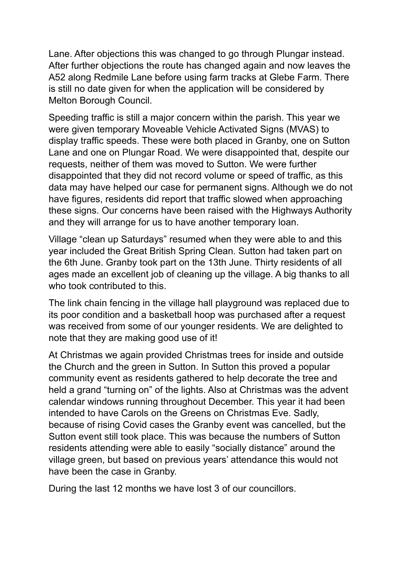Lane. After objections this was changed to go through Plungar instead. After further objections the route has changed again and now leaves the A52 along Redmile Lane before using farm tracks at Glebe Farm. There is still no date given for when the application will be considered by Melton Borough Council.

Speeding traffic is still a major concern within the parish. This year we were given temporary Moveable Vehicle Activated Signs (MVAS) to display traffic speeds. These were both placed in Granby, one on Sutton Lane and one on Plungar Road. We were disappointed that, despite our requests, neither of them was moved to Sutton. We were further disappointed that they did not record volume or speed of traffic, as this data may have helped our case for permanent signs. Although we do not have figures, residents did report that traffic slowed when approaching these signs. Our concerns have been raised with the Highways Authority and they will arrange for us to have another temporary loan.

Village "clean up Saturdays" resumed when they were able to and this year included the Great British Spring Clean. Sutton had taken part on the 6th June. Granby took part on the 13th June. Thirty residents of all ages made an excellent job of cleaning up the village. A big thanks to all who took contributed to this.

The link chain fencing in the village hall playground was replaced due to its poor condition and a basketball hoop was purchased after a request was received from some of our younger residents. We are delighted to note that they are making good use of it!

At Christmas we again provided Christmas trees for inside and outside the Church and the green in Sutton. In Sutton this proved a popular community event as residents gathered to help decorate the tree and held a grand "turning on" of the lights. Also at Christmas was the advent calendar windows running throughout December. This year it had been intended to have Carols on the Greens on Christmas Eve. Sadly, because of rising Covid cases the Granby event was cancelled, but the Sutton event still took place. This was because the numbers of Sutton residents attending were able to easily "socially distance" around the village green, but based on previous years' attendance this would not have been the case in Granby.

During the last 12 months we have lost 3 of our councillors.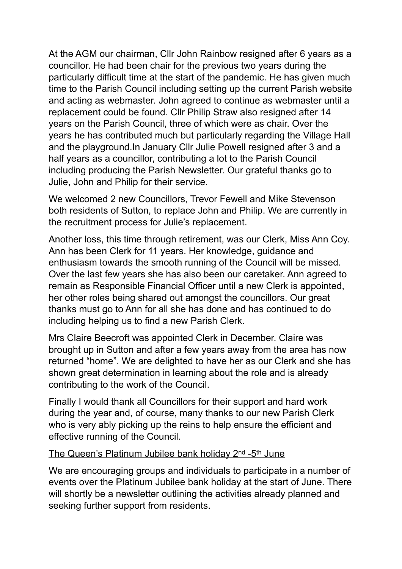At the AGM our chairman, Cllr John Rainbow resigned after 6 years as a councillor. He had been chair for the previous two years during the particularly difficult time at the start of the pandemic. He has given much time to the Parish Council including setting up the current Parish website and acting as webmaster. John agreed to continue as webmaster until a replacement could be found. Cllr Philip Straw also resigned after 14 years on the Parish Council, three of which were as chair. Over the years he has contributed much but particularly regarding the Village Hall and the playground.In January Cllr Julie Powell resigned after 3 and a half years as a councillor, contributing a lot to the Parish Council including producing the Parish Newsletter. Our grateful thanks go to Julie, John and Philip for their service.

We welcomed 2 new Councillors, Trevor Fewell and Mike Stevenson both residents of Sutton, to replace John and Philip. We are currently in the recruitment process for Julie's replacement.

Another loss, this time through retirement, was our Clerk, Miss Ann Coy. Ann has been Clerk for 11 years. Her knowledge, guidance and enthusiasm towards the smooth running of the Council will be missed. Over the last few years she has also been our caretaker. Ann agreed to remain as Responsible Financial Officer until a new Clerk is appointed, her other roles being shared out amongst the councillors. Our great thanks must go to Ann for all she has done and has continued to do including helping us to find a new Parish Clerk.

Mrs Claire Beecroft was appointed Clerk in December. Claire was brought up in Sutton and after a few years away from the area has now returned "home". We are delighted to have her as our Clerk and she has shown great determination in learning about the role and is already contributing to the work of the Council.

Finally I would thank all Councillors for their support and hard work during the year and, of course, many thanks to our new Parish Clerk who is very ably picking up the reins to help ensure the efficient and effective running of the Council.

#### The Queen's Platinum Jubilee bank holiday 2<sup>nd</sup> -5<sup>th</sup> June

We are encouraging groups and individuals to participate in a number of events over the Platinum Jubilee bank holiday at the start of June. There will shortly be a newsletter outlining the activities already planned and seeking further support from residents.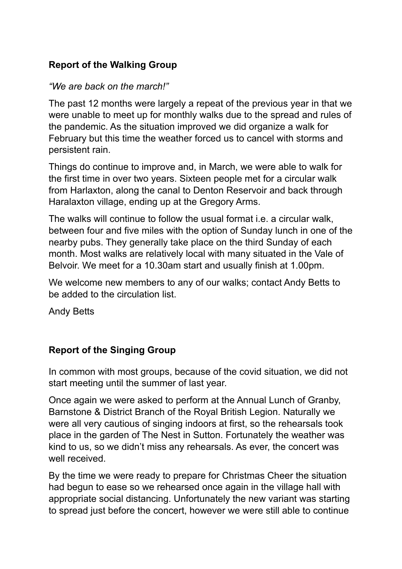## **Report of the Walking Group**

#### *"We are back on the march!"*

The past 12 months were largely a repeat of the previous year in that we were unable to meet up for monthly walks due to the spread and rules of the pandemic. As the situation improved we did organize a walk for February but this time the weather forced us to cancel with storms and persistent rain.

Things do continue to improve and, in March, we were able to walk for the first time in over two years. Sixteen people met for a circular walk from Harlaxton, along the canal to Denton Reservoir and back through Haralaxton village, ending up at the Gregory Arms.

The walks will continue to follow the usual format i.e. a circular walk, between four and five miles with the option of Sunday lunch in one of the nearby pubs. They generally take place on the third Sunday of each month. Most walks are relatively local with many situated in the Vale of Belvoir. We meet for a 10.30am start and usually finish at 1.00pm.

We welcome new members to any of our walks; contact Andy Betts to be added to the circulation list.

Andy Betts

## **Report of the Singing Group**

In common with most groups, because of the covid situation, we did not start meeting until the summer of last year.

Once again we were asked to perform at the Annual Lunch of Granby, Barnstone & District Branch of the Royal British Legion. Naturally we were all very cautious of singing indoors at first, so the rehearsals took place in the garden of The Nest in Sutton. Fortunately the weather was kind to us, so we didn't miss any rehearsals. As ever, the concert was well received.

By the time we were ready to prepare for Christmas Cheer the situation had begun to ease so we rehearsed once again in the village hall with appropriate social distancing. Unfortunately the new variant was starting to spread just before the concert, however we were still able to continue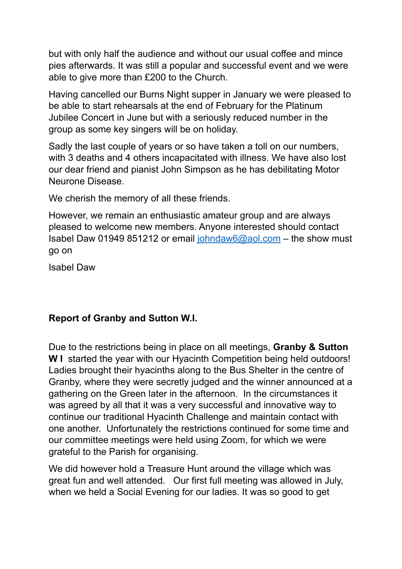but with only half the audience and without our usual coffee and mince pies afterwards. It was still a popular and successful event and we were able to give more than £200 to the Church.

Having cancelled our Burns Night supper in January we were pleased to be able to start rehearsals at the end of February for the Platinum Jubilee Concert in June but with a seriously reduced number in the group as some key singers will be on holiday.

Sadly the last couple of years or so have taken a toll on our numbers, with 3 deaths and 4 others incapacitated with illness. We have also lost our dear friend and pianist John Simpson as he has debilitating Motor Neurone Disease.

We cherish the memory of all these friends.

However, we remain an enthusiastic amateur group and are always pleased to welcome new members. Anyone interested should contact Isabel Daw 01949 851212 or email [johndaw6@aol.com](mailto:johndaw6@aol.com) - the show must go on

Isabel Daw

## **Report of Granby and Sutton W.I.**

Due to the restrictions being in place on all meetings, **Granby & Sutton W I** started the year with our Hyacinth Competition being held outdoors! Ladies brought their hyacinths along to the Bus Shelter in the centre of Granby, where they were secretly judged and the winner announced at a gathering on the Green later in the afternoon. In the circumstances it was agreed by all that it was a very successful and innovative way to continue our traditional Hyacinth Challenge and maintain contact with one another. Unfortunately the restrictions continued for some time and our committee meetings were held using Zoom, for which we were grateful to the Parish for organising.

We did however hold a Treasure Hunt around the village which was great fun and well attended. Our first full meeting was allowed in July, when we held a Social Evening for our ladies. It was so good to get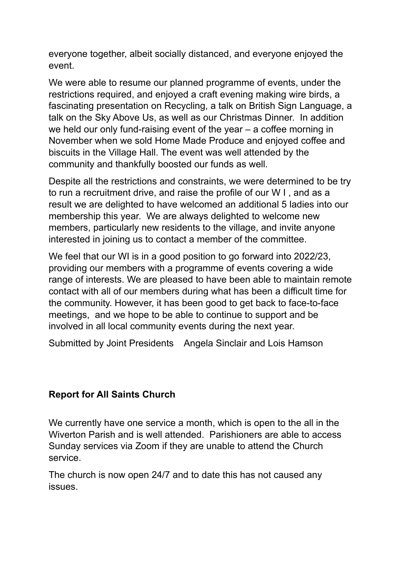everyone together, albeit socially distanced, and everyone enjoyed the event.

We were able to resume our planned programme of events, under the restrictions required, and enjoyed a craft evening making wire birds, a fascinating presentation on Recycling, a talk on British Sign Language, a talk on the Sky Above Us, as well as our Christmas Dinner. In addition we held our only fund-raising event of the year – a coffee morning in November when we sold Home Made Produce and enjoyed coffee and biscuits in the Village Hall. The event was well attended by the community and thankfully boosted our funds as well.

Despite all the restrictions and constraints, we were determined to be try to run a recruitment drive, and raise the profile of our W I , and as a result we are delighted to have welcomed an additional 5 ladies into our membership this year. We are always delighted to welcome new members, particularly new residents to the village, and invite anyone interested in joining us to contact a member of the committee.

We feel that our WI is in a good position to go forward into 2022/23, providing our members with a programme of events covering a wide range of interests. We are pleased to have been able to maintain remote contact with all of our members during what has been a difficult time for the community. However, it has been good to get back to face-to-face meetings, and we hope to be able to continue to support and be involved in all local community events during the next year.

Submitted by Joint Presidents Angela Sinclair and Lois Hamson

## **Report for All Saints Church**

We currently have one service a month, which is open to the all in the Wiverton Parish and is well attended. Parishioners are able to access Sunday services via Zoom if they are unable to attend the Church service.

The church is now open 24/7 and to date this has not caused any issues.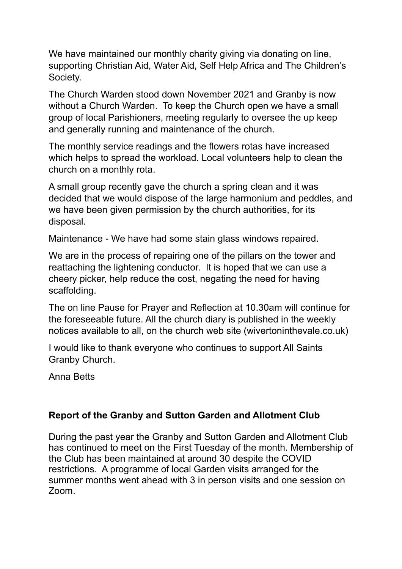We have maintained our monthly charity giving via donating on line, supporting Christian Aid, Water Aid, Self Help Africa and The Children's Society.

The Church Warden stood down November 2021 and Granby is now without a Church Warden. To keep the Church open we have a small group of local Parishioners, meeting regularly to oversee the up keep and generally running and maintenance of the church.

The monthly service readings and the flowers rotas have increased which helps to spread the workload. Local volunteers help to clean the church on a monthly rota.

A small group recently gave the church a spring clean and it was decided that we would dispose of the large harmonium and peddles, and we have been given permission by the church authorities, for its disposal.

Maintenance - We have had some stain glass windows repaired.

We are in the process of repairing one of the pillars on the tower and reattaching the lightening conductor. It is hoped that we can use a cheery picker, help reduce the cost, negating the need for having scaffolding.

The on line Pause for Prayer and Reflection at 10.30am will continue for the foreseeable future. All the church diary is published in the weekly notices available to all, on the church web site (wivertoninthevale.co.uk)

I would like to thank everyone who continues to support All Saints Granby Church.

Anna Betts

## **Report of the Granby and Sutton Garden and Allotment Club**

During the past year the Granby and Sutton Garden and Allotment Club has continued to meet on the First Tuesday of the month. Membership of the Club has been maintained at around 30 despite the COVID restrictions. A programme of local Garden visits arranged for the summer months went ahead with 3 in person visits and one session on Zoom.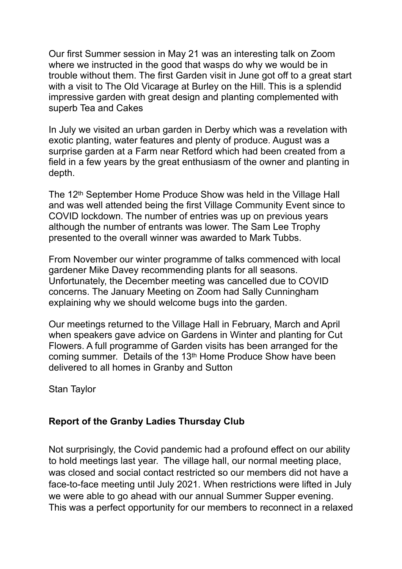Our first Summer session in May 21 was an interesting talk on Zoom where we instructed in the good that wasps do why we would be in trouble without them. The first Garden visit in June got off to a great start with a visit to The Old Vicarage at Burley on the Hill. This is a splendid impressive garden with great design and planting complemented with superb Tea and Cakes

In July we visited an urban garden in Derby which was a revelation with exotic planting, water features and plenty of produce. August was a surprise garden at a Farm near Retford which had been created from a field in a few years by the great enthusiasm of the owner and planting in depth.

The 12th September Home Produce Show was held in the Village Hall and was well attended being the first Village Community Event since to COVID lockdown. The number of entries was up on previous years although the number of entrants was lower. The Sam Lee Trophy presented to the overall winner was awarded to Mark Tubbs.

From November our winter programme of talks commenced with local gardener Mike Davey recommending plants for all seasons. Unfortunately, the December meeting was cancelled due to COVID concerns. The January Meeting on Zoom had Sally Cunningham explaining why we should welcome bugs into the garden.

Our meetings returned to the Village Hall in February, March and April when speakers gave advice on Gardens in Winter and planting for Cut Flowers. A full programme of Garden visits has been arranged for the coming summer. Details of the 13th Home Produce Show have been delivered to all homes in Granby and Sutton

Stan Taylor

#### **Report of the Granby Ladies Thursday Club**

Not surprisingly, the Covid pandemic had a profound effect on our ability to hold meetings last year. The village hall, our normal meeting place, was closed and social contact restricted so our members did not have a face-to-face meeting until July 2021. When restrictions were lifted in July we were able to go ahead with our annual Summer Supper evening. This was a perfect opportunity for our members to reconnect in a relaxed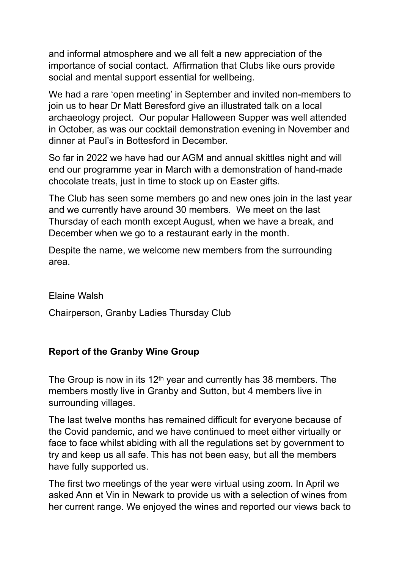and informal atmosphere and we all felt a new appreciation of the importance of social contact. Affirmation that Clubs like ours provide social and mental support essential for wellbeing.

We had a rare 'open meeting' in September and invited non-members to join us to hear Dr Matt Beresford give an illustrated talk on a local archaeology project. Our popular Halloween Supper was well attended in October, as was our cocktail demonstration evening in November and dinner at Paul's in Bottesford in December.

So far in 2022 we have had our AGM and annual skittles night and will end our programme year in March with a demonstration of hand-made chocolate treats, just in time to stock up on Easter gifts.

The Club has seen some members go and new ones join in the last year and we currently have around 30 members. We meet on the last Thursday of each month except August, when we have a break, and December when we go to a restaurant early in the month.

Despite the name, we welcome new members from the surrounding area.

Elaine Walsh

Chairperson, Granby Ladies Thursday Club

## **Report of the Granby Wine Group**

The Group is now in its  $12<sup>th</sup>$  year and currently has 38 members. The members mostly live in Granby and Sutton, but 4 members live in surrounding villages.

The last twelve months has remained difficult for everyone because of the Covid pandemic, and we have continued to meet either virtually or face to face whilst abiding with all the regulations set by government to try and keep us all safe. This has not been easy, but all the members have fully supported us.

The first two meetings of the year were virtual using zoom. In April we asked Ann et Vin in Newark to provide us with a selection of wines from her current range. We enjoyed the wines and reported our views back to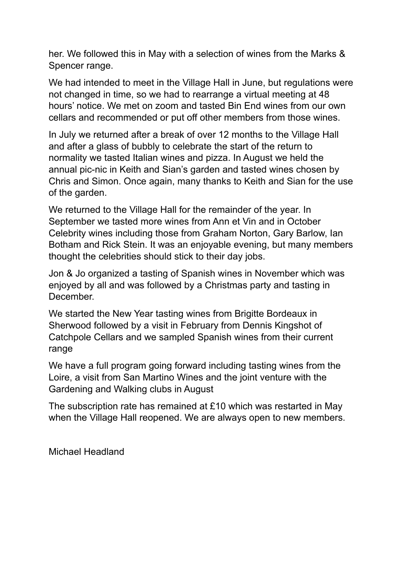her. We followed this in May with a selection of wines from the Marks & Spencer range.

We had intended to meet in the Village Hall in June, but regulations were not changed in time, so we had to rearrange a virtual meeting at 48 hours' notice. We met on zoom and tasted Bin End wines from our own cellars and recommended or put off other members from those wines.

In July we returned after a break of over 12 months to the Village Hall and after a glass of bubbly to celebrate the start of the return to normality we tasted Italian wines and pizza. In August we held the annual pic-nic in Keith and Sian's garden and tasted wines chosen by Chris and Simon. Once again, many thanks to Keith and Sian for the use of the garden.

We returned to the Village Hall for the remainder of the year. In September we tasted more wines from Ann et Vin and in October Celebrity wines including those from Graham Norton, Gary Barlow, Ian Botham and Rick Stein. It was an enjoyable evening, but many members thought the celebrities should stick to their day jobs.

Jon & Jo organized a tasting of Spanish wines in November which was enjoyed by all and was followed by a Christmas party and tasting in December.

We started the New Year tasting wines from Brigitte Bordeaux in Sherwood followed by a visit in February from Dennis Kingshot of Catchpole Cellars and we sampled Spanish wines from their current range

We have a full program going forward including tasting wines from the Loire, a visit from San Martino Wines and the joint venture with the Gardening and Walking clubs in August

The subscription rate has remained at £10 which was restarted in May when the Village Hall reopened. We are always open to new members.

Michael Headland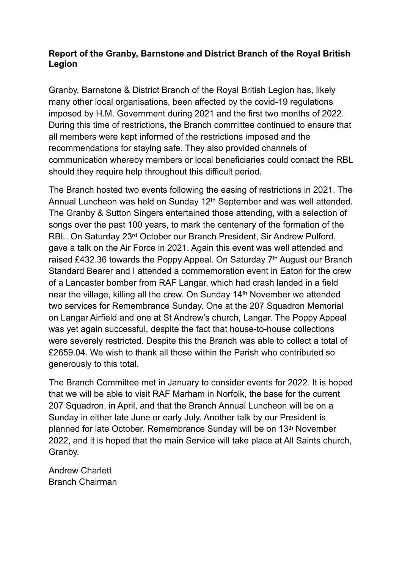#### **Report of the Granby, Barnstone and District Branch of the Royal British Legion**

Granby, Barnstone & District Branch of the Royal British Legion has, likely many other local organisations, been affected by the covid-19 regulations imposed by H.M. Government during 2021 and the first two months of 2022. During this time of restrictions, the Branch committee continued to ensure that all members were kept informed of the restrictions imposed and the recommendations for staying safe. They also provided channels of communication whereby members or local beneficiaries could contact the RBL should they require help throughout this difficult period.

The Branch hosted two events following the easing of restrictions in 2021. The Annual Luncheon was held on Sunday 12th September and was well attended. The Granby & Sutton Singers entertained those attending, with a selection of songs over the past 100 years, to mark the centenary of the formation of the RBL. On Saturday 23rd October our Branch President, Sir Andrew Pulford, gave a talk on the Air Force in 2021. Again this event was well attended and raised £432.36 towards the Poppy Appeal. On Saturday 7<sup>th</sup> August our Branch Standard Bearer and I attended a commemoration event in Eaton for the crew of a Lancaster bomber from RAF Langar, which had crash landed in a field near the village, killing all the crew. On Sunday 14th November we attended two services for Remembrance Sunday. One at the 207 Squadron Memorial on Langar Airfield and one at St Andrew's church, Langar. The Poppy Appeal was yet again successful, despite the fact that house-to-house collections were severely restricted. Despite this the Branch was able to collect a total of £2659.04. We wish to thank all those within the Parish who contributed so generously to this total.

The Branch Committee met in January to consider events for 2022. It is hoped that we will be able to visit RAF Marham in Norfolk, the base for the current 207 Squadron, in April, and that the Branch Annual Luncheon will be on a Sunday in either late June or early July. Another talk by our President is planned for late October. Remembrance Sunday will be on 13th November 2022, and it is hoped that the main Service will take place at All Saints church, Granby.

Andrew Charlett Branch Chairman